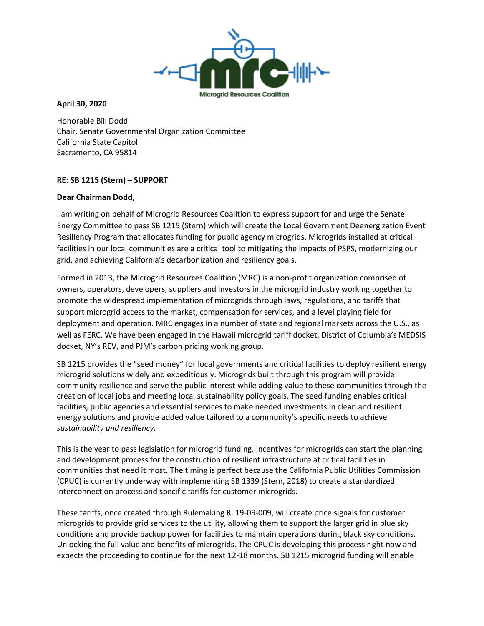

## **April 30, 2020**

Honorable Bill Dodd Chair, Senate Governmental Organization Committee California State Capitol Sacramento, CA 95814

## **RE: SB 1215 (Stern) – SUPPORT**

## **Dear Chairman Dodd,**

I am writing on behalf of Microgrid Resources Coalition to express support for and urge the Senate Energy Committee to pass SB 1215 (Stern) which will create the Local Government Deenergization Event Resiliency Program that allocates funding for public agency microgrids. Microgrids installed at critical facilities in our local communities are a critical tool to mitigating the impacts of PSPS, modernizing our grid, and achieving California's decarbonization and resiliency goals.

Formed in 2013, the Microgrid Resources Coalition (MRC) is a non-profit organization comprised of owners, operators, developers, suppliers and investors in the microgrid industry working together to promote the widespread implementation of microgrids through laws, regulations, and tariffs that support microgrid access to the market, compensation for services, and a level playing field for deployment and operation. MRC engages in a number of state and regional markets across the U.S., as well as FERC. We have been engaged in the Hawaii microgrid tariff docket, District of Columbia's MEDSIS docket, NY's REV, and PJM's carbon pricing working group.

SB 1215 provides the "seed money" for local governments and critical facilities to deploy resilient energy microgrid solutions widely and expeditiously. Microgrids built through this program will provide community resilience and serve the public interest while adding value to these communities through the creation of local jobs and meeting local sustainability policy goals. The seed funding enables critical facilities, public agencies and essential services to make needed investments in clean and resilient energy solutions and provide added value tailored to a community's specific needs to achieve *sustainability and resiliency*.

This is the year to pass legislation for microgrid funding. Incentives for microgrids can start the planning and development process for the construction of resilient infrastructure at critical facilities in communities that need it most. The timing is perfect because the California Public Utilities Commission (CPUC) is currently underway with implementing SB 1339 (Stern, 2018) to create a standardized interconnection process and specific tariffs for customer microgrids.

These tariffs, once created through Rulemaking R. 19-09-009, will create price signals for customer microgrids to provide grid services to the utility, allowing them to support the larger grid in blue sky conditions and provide backup power for facilities to maintain operations during black sky conditions. Unlocking the full value and benefits of microgrids. The CPUC is developing this process right now and expects the proceeding to continue for the next 12-18 months. SB 1215 microgrid funding will enable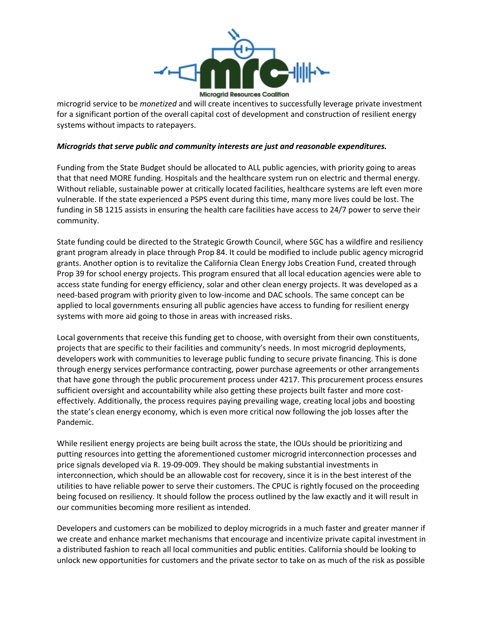

microgrid service to be *monetized* and will create incentives to successfully leverage private investment for a significant portion of the overall capital cost of development and construction of resilient energy systems without impacts to ratepayers.

## *Microgrids that serve public and community interests are just and reasonable expenditures.*

Funding from the State Budget should be allocated to ALL public agencies, with priority going to areas that that need MORE funding. Hospitals and the healthcare system run on electric and thermal energy. Without reliable, sustainable power at critically located facilities, healthcare systems are left even more vulnerable. If the state experienced a PSPS event during this time, many more lives could be lost. The funding in SB 1215 assists in ensuring the health care facilities have access to 24/7 power to serve their community.

State funding could be directed to the Strategic Growth Council, where SGC has a wildfire and resiliency grant program already in place through Prop 84. It could be modified to include public agency microgrid grants. Another option is to revitalize the California Clean Energy Jobs Creation Fund, created through Prop 39 for school energy projects. This program ensured that all local education agencies were able to access state funding for energy efficiency, solar and other clean energy projects. It was developed as a need-based program with priority given to low-income and DAC schools. The same concept can be applied to local governments ensuring all public agencies have access to funding for resilient energy systems with more aid going to those in areas with increased risks.

Local governments that receive this funding get to choose, with oversight from their own constituents, projects that are specific to their facilities and community's needs. In most microgrid deployments, developers work with communities to leverage public funding to secure private financing. This is done through energy services performance contracting, power purchase agreements or other arrangements that have gone through the public procurement process under 4217. This procurement process ensures sufficient oversight and accountability while also getting these projects built faster and more costeffectively. Additionally, the process requires paying prevailing wage, creating local jobs and boosting the state's clean energy economy, which is even more critical now following the job losses after the Pandemic.

While resilient energy projects are being built across the state, the IOUs should be prioritizing and putting resources into getting the aforementioned customer microgrid interconnection processes and price signals developed via R. 19-09-009. They should be making substantial investments in interconnection, which should be an allowable cost for recovery, since it is in the best interest of the utilities to have reliable power to serve their customers. The CPUC is rightly focused on the proceeding being focused on resiliency. It should follow the process outlined by the law exactly and it will result in our communities becoming more resilient as intended.

Developers and customers can be mobilized to deploy microgrids in a much faster and greater manner if we create and enhance market mechanisms that encourage and incentivize private capital investment in a distributed fashion to reach all local communities and public entities. California should be looking to unlock new opportunities for customers and the private sector to take on as much of the risk as possible